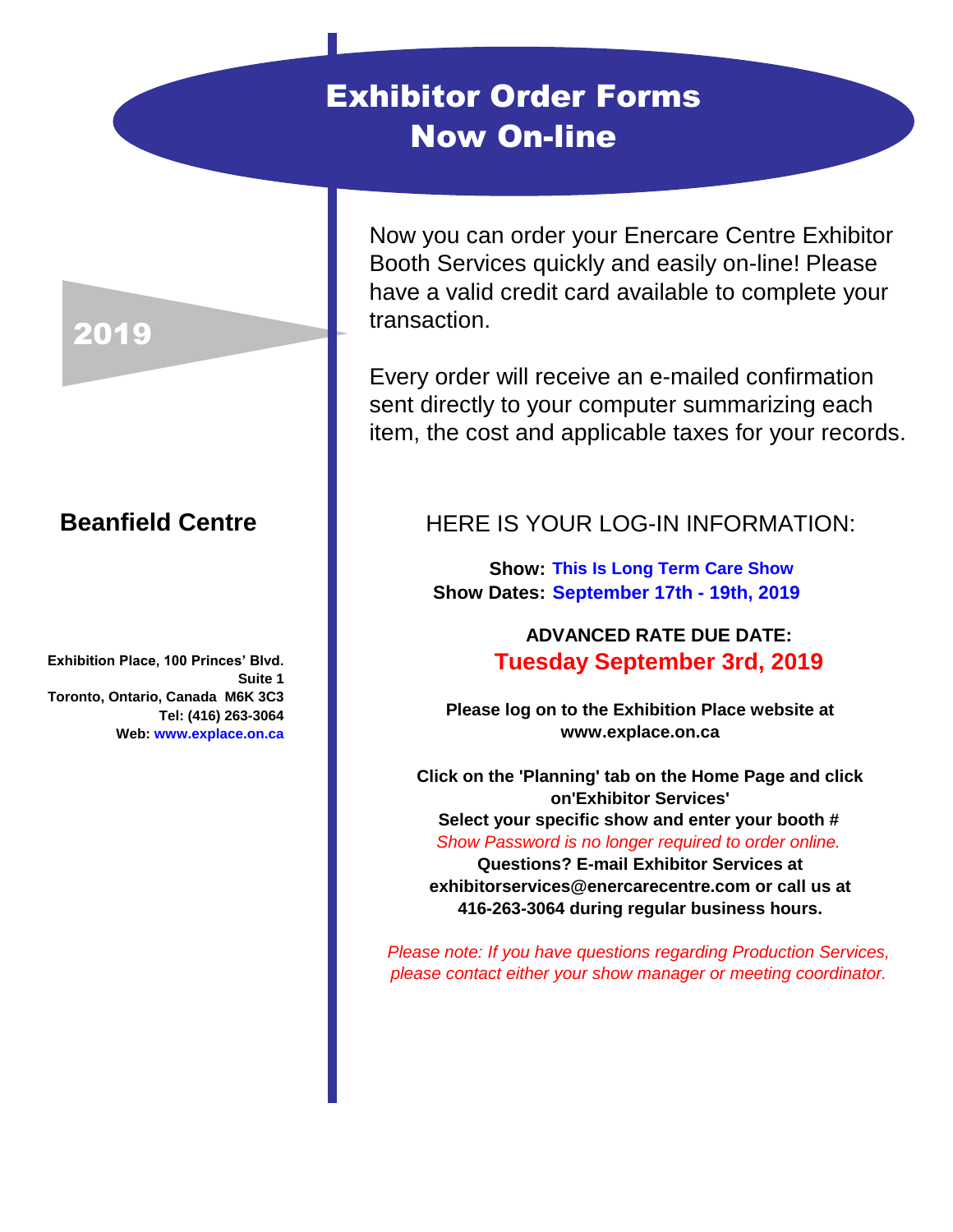## Exhibitor Order Forms Now On-line

Now you can order your Enercare Centre Exhibitor Booth Services quickly and easily on-line! Please have a valid credit card available to complete your transaction.

Every order will receive an e-mailed confirmation sent directly to your computer summarizing each item, the cost and applicable taxes for your records.

## HERE IS YOUR LOG-IN INFORMATION:

**This Is Long Term Care Show Show: Show Dates: September 17th - 19th, 2019**

## **ADVANCED RATE DUE DATE: Tuesday September 3rd, 2019**

**Please log on to the Exhibition Place website at www.explace.on.ca**

**Click on the 'Planning' tab on the Home Page and click on'Exhibitor Services' Select your specific show and enter your booth #**  *Show Password is no longer required to order online.* **Questions? E-mail Exhibitor Services at exhibitorservices@enercarecentre.com or call us at 416-263-3064 during regular business hours.** 

*Please note: If you have questions regarding Production Services, please contact either your show manager or meeting coordinator.*

## 2019

## **Beanfield Centre**

**Exhibition Place, 100 Princes' Blvd. Suite 1 Toronto, Ontario, Canada M6K 3C3 Tel: (416) 263-3064 Web: www.explace.on.ca**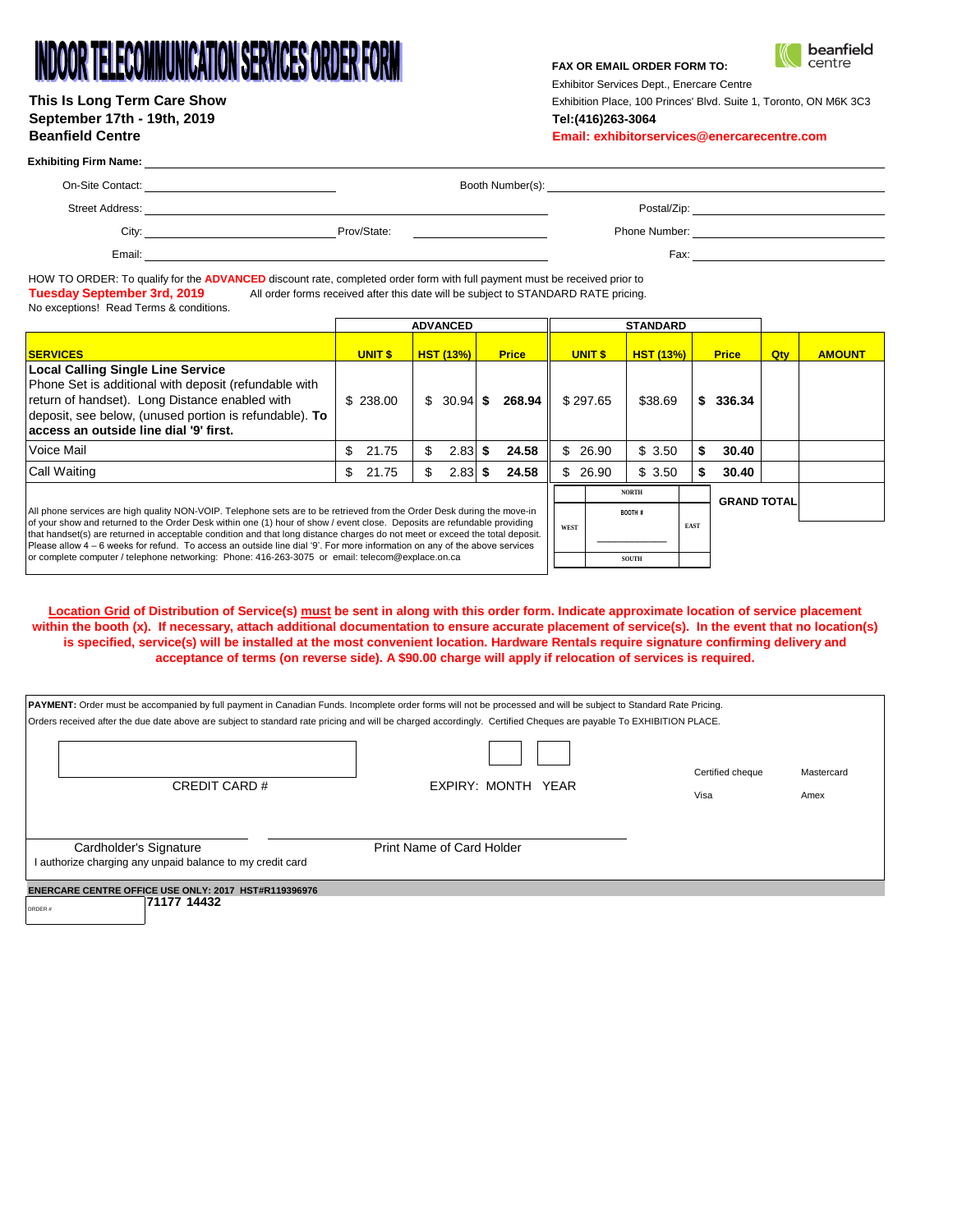# **INDOOR TELECOMMUNICATION SERVICES ORDER FORM**

| This Is Long Term Care Show |
|-----------------------------|
| September 17th - 19th, 2019 |
| <b>Beanfield Centre</b>     |

#### **FAX OR EMAIL ORDER FORM TO:**



Exhibitor Services Dept., Enercare Centre

Exhibition Place, 100 Princes' Blvd. Suite 1, Toronto, ON M6K 3C3 **September 17th - 19th, 2019 Tel:(416)263-3064**

**Beanfield Centre Email: exhibitorservices@enercarecentre.com**

### **Exhibiting Firm Name:**

|               | Booth Number(s): |             | On-Site Contact:       |
|---------------|------------------|-------------|------------------------|
| Postal/Zip:   |                  |             | <b>Street Address:</b> |
| Phone Number: |                  | Prov/State: | Citv:                  |
| Fax:          |                  |             | Email:                 |

HOW TO ORDER: To qualify for the ADVANCED discount rate, completed order form with full payment must be received prior to<br>Tuesday September 3rd, 2019 All order forms received after this date will be subject to STANDARD RAT All order forms received after this date will be subject to STANDARD RATE pricing. No exceptions! Read Terms & conditions.

|                                                                                                                                                                                                                                                          |                                                                                                                         | <b>ADVANCED</b>  |              |                | <b>STANDARD</b>  |                    |     |               |
|----------------------------------------------------------------------------------------------------------------------------------------------------------------------------------------------------------------------------------------------------------|-------------------------------------------------------------------------------------------------------------------------|------------------|--------------|----------------|------------------|--------------------|-----|---------------|
| <b>SERVICES</b>                                                                                                                                                                                                                                          | UNIT <sub>s</sub>                                                                                                       | <b>HST (13%)</b> | <b>Price</b> | <b>UNIT \$</b> | <b>HST (13%)</b> | <b>Price</b>       | Qty | <b>AMOUNT</b> |
| Local Calling Single Line Service<br>Phone Set is additional with deposit (refundable with<br>return of handset). Long Distance enabled with<br>deposit, see below, (unused portion is refundable). To<br>laccess an outside line dial '9' first.        | \$238.00                                                                                                                | $$30.94$ \$      | 268.94 l     | \$297.65       | \$38.69          | 336.34<br>S.       |     |               |
| Voice Mail                                                                                                                                                                                                                                               | \$<br>21.75                                                                                                             | 2.83<br>S.       | 24.58        | 26.90<br>\$.   | \$3.50           | 30.40              |     |               |
| <b>Call Waiting</b>                                                                                                                                                                                                                                      | \$<br>21.75                                                                                                             | 2.83<br>S.       | 24.58        | 26.90<br>SS.   | \$3.50           | 30.40              |     |               |
|                                                                                                                                                                                                                                                          |                                                                                                                         |                  |              |                | <b>NORTH</b>     | <b>GRAND TOTAL</b> |     |               |
|                                                                                                                                                                                                                                                          | All phone services are high quality NON-VOIP. Telephone sets are to be retrieved from the Order Desk during the move-in |                  |              |                |                  |                    |     |               |
| of your show and returned to the Order Desk within one (1) hour of show / event close. Deposits are refundable providing<br>that handset(s) are returned in acceptable condition and that long distance charges do not meet or exceed the total deposit. |                                                                                                                         |                  |              |                | <b>EAST</b>      |                    |     |               |
| Please allow 4 – 6 weeks for refund. To access an outside line dial '9'. For more information on any of the above services<br>or complete computer / telephone networking: Phone: 416-263-3075 or email: telecom@explace.on.ca                           |                                                                                                                         |                  |              |                | SOUTH            |                    |     |               |

**Location Grid of Distribution of Service(s) must be sent in along with this order form. Indicate approximate location of service placement within the booth (x). If necessary, attach additional documentation to ensure accurate placement of service(s). In the event that no location(s) is specified, service(s) will be installed at the most convenient location. Hardware Rentals require signature confirming delivery and acceptance of terms (on reverse side). A \$90.00 charge will apply if relocation of services is required.** 

| <b>PAYMENT:</b> Order must be accompanied by full payment in Canadian Funds. Incomplete order forms will not be processed and will be subject to Standard Rate Pricing.<br>Orders received after the due date above are subject to standard rate pricing and will be charged accordingly. Certified Cheques are payable To EXHIBITION PLACE. |                           |                          |                    |  |  |  |  |  |
|----------------------------------------------------------------------------------------------------------------------------------------------------------------------------------------------------------------------------------------------------------------------------------------------------------------------------------------------|---------------------------|--------------------------|--------------------|--|--|--|--|--|
| CREDIT CARD #                                                                                                                                                                                                                                                                                                                                | EXPIRY: MONTH YEAR        | Certified cheque<br>Visa | Mastercard<br>Amex |  |  |  |  |  |
| Cardholder's Signature<br>I authorize charging any unpaid balance to my credit card                                                                                                                                                                                                                                                          | Print Name of Card Holder |                          |                    |  |  |  |  |  |
| <b>ENERCARE CENTRE OFFICE USE ONLY: 2017 HST#R119396976</b><br>71177 14432<br>ORDER#                                                                                                                                                                                                                                                         |                           |                          |                    |  |  |  |  |  |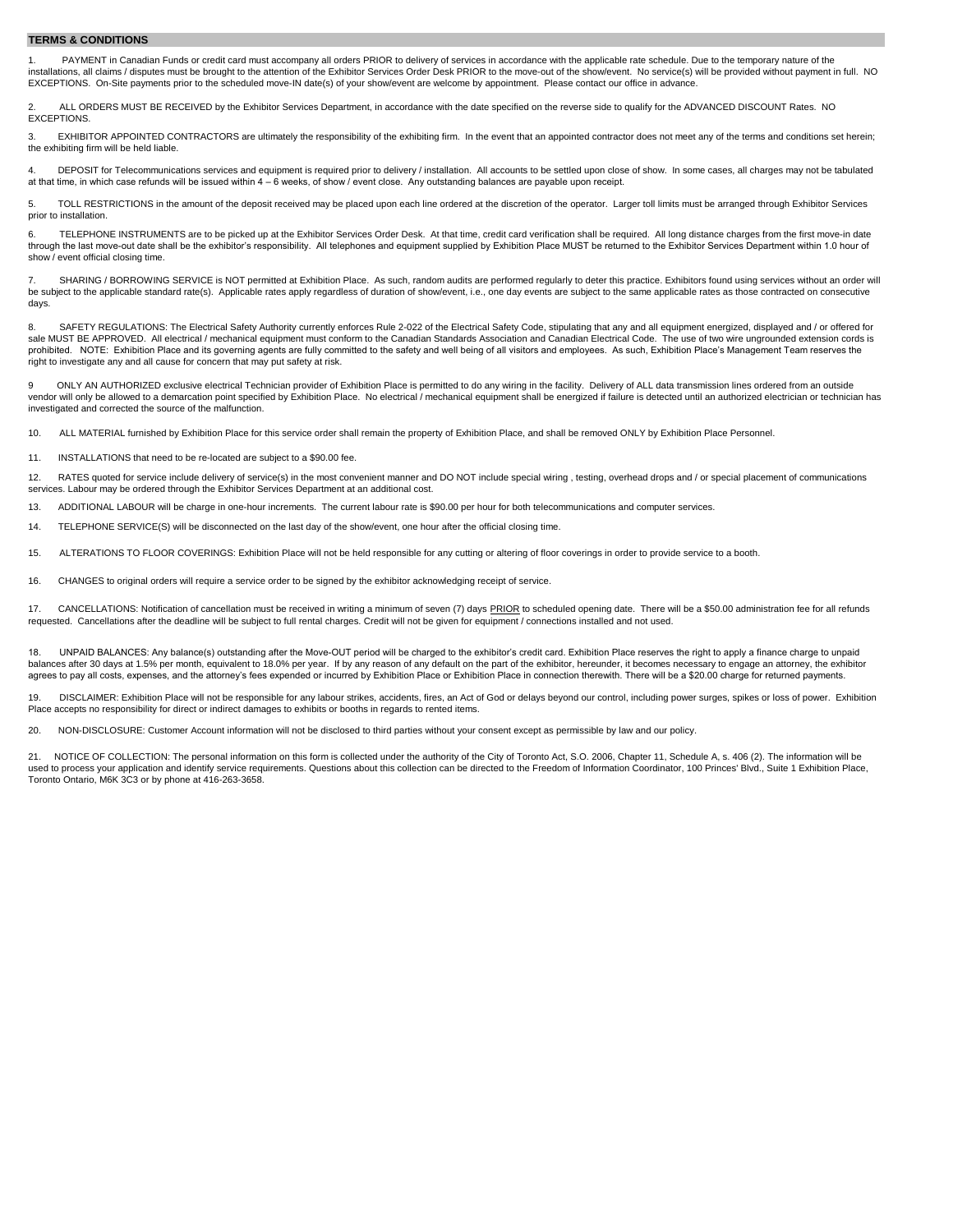#### **TERMS & CONDITIONS**

PAYMENT in Canadian Funds or credit card must accompany all orders PRIOR to delivery of services in accordance with the applicable rate schedule. Due to the temporary nature of the installations, all claims / disputes must be brought to the attention of the Exhibitor Services Order Desk PRIOR to the move-out of the show/event. No service(s) will be provided without payment in full. NO EXCEPTIONS. On-Site payments prior to the scheduled move-IN date(s) of your show/event are welcome by appointment. Please contact our office in advance.

2. ALL ORDERS MUST BE RECEIVED by the Exhibitor Services Department, in accordance with the date specified on the reverse side to qualify for the ADVANCED DISCOUNT Rates. NO EXCEPTIONS.

3. EXHIBITOR APPOINTED CONTRACTORS are ultimately the responsibility of the exhibiting firm. In the event that an appointed contractor does not meet any of the terms and conditions set herein; the exhibiting firm will be held liable.

4. DEPOSIT for Telecommunications services and equipment is required prior to delivery / installation. All accounts to be settled upon close of show. In some cases, all charges may not be tabulated at that time, in which case refunds will be issued within 4 – 6 weeks, of show / event close. Any outstanding balances are payable upon receipt.

5. TOLL RESTRICTIONS in the amount of the deposit received may be placed upon each line ordered at the discretion of the operator. Larger toll limits must be arranged through Exhibitor Services prior to installation.

6. TELEPHONE INSTRUMENTS are to be picked up at the Exhibitor Services Order Desk. At that time, credit card verification shall be required. All long distance charges from the first move-in date through the last move-out date shall be the exhibitor's responsibility. All telephones and equipment supplied by Exhibition Place MUST be returned to the Exhibitor Services Department within 1.0 hour of show / event official closing time.

7. SHARING / BORROWING SERVICE is NOT permitted at Exhibition Place. As such, random audits are performed regularly to deter this practice. Exhibitors found using services without an order will be subject to the applicable standard rate(s). Applicable rates apply regardless of duration of show/event, i.e., one day events are subject to the same applicable rates as those contracted on consecutive days.

8. SAFETY REGULATIONS: The Electrical Safety Authority currently enforces Rule 2-022 of the Electrical Safety Code, stipulating that any and all equipment energized, displayed and / or offered for sale MUST BE APPROVED. All electrical / mechanical equipment must conform to the Canadian Standards Association and Canadian Electrical Code. The use of two wire ungrounded extension cords is prohibited. NOTE: Exhibition Place and its governing agents are fully committed to the safety and well being of all visitors and employees. As such, Exhibition Place's Management Team reserves the right to investigate any and all cause for concern that may put safety at risk.

9 ONLY AN AUTHORIZED exclusive electrical Technician provider of Exhibition Place is permitted to do any wiring in the facility. Delivery of ALL data transmission lines ordered from an outside vendor will only be allowed to a demarcation point specified by Exhibition Place. No electrical / mechanical equipment shall be energized if failure is detected until an authorized electrician or technician has investigated and corrected the source of the malfunction.

10. ALL MATERIAL furnished by Exhibition Place for this service order shall remain the property of Exhibition Place, and shall be removed ONLY by Exhibition Place Personnel.

11. INSTALLATIONS that need to be re-located are subject to a \$90.00 fee.

12. RATES quoted for service include delivery of service(s) in the most convenient manner and DO NOT include special wiring, testing, overhead drops and / or special placement of communications services. Labour may be ordered through the Exhibitor Services Department at an additional cost.

13. ADDITIONAL LABOUR will be charge in one-hour increments. The current labour rate is \$90.00 per hour for both telecommunications and computer services.

14. TELEPHONE SERVICE(S) will be disconnected on the last day of the show/event, one hour after the official closing time.

15. ALTERATIONS TO FLOOR COVERINGS: Exhibition Place will not be held responsible for any cutting or altering of floor coverings in order to provide service to a booth.

16. CHANGES to original orders will require a service order to be signed by the exhibitor acknowledging receipt of service.

17. CANCELLATIONS: Notification of cancellation must be received in writing a minimum of seven (7) days PRIOR to scheduled opening date. There will be a \$50.00 administration fee for all refunds requested. Cancellations after the deadline will be subject to full rental charges. Credit will not be given for equipment / connections installed and not used.

18. UNPAID BALANCES: Any balance(s) outstanding after the Move-OUT period will be charged to the exhibitor's credit card. Exhibition Place reserves the right to apply a finance charge to unpaid balances after 30 days at 1.5% per month, equivalent to 18.0% per year. If by any reason of any default on the part of the exhibitor, hereunder, it becomes necessary to engage an attorney, the exhibitor agrees to pay all costs, expenses, and the attorney's fees expended or incurred by Exhibition Place or Exhibition Place in connection therewith. There will be a \$20.00 charge for returned payments.

19. DISCLAIMER: Exhibition Place will not be responsible for any labour strikes, accidents, fires, an Act of God or delays beyond our control, including power surges, spikes or loss of power. Exhibition Place accepts no responsibility for direct or indirect damages to exhibits or booths in regards to rented items.

20. NON-DISCLOSURE: Customer Account information will not be disclosed to third parties without your consent except as permissible by law and our policy.

21. NOTICE OF COLLECTION: The personal information on this form is collected under the authority of the City of Toronto Act, S.O. 2006, Chapter 11, Schedule A, s. 406 (2). The information will be used to process your application and identify service requirements. Questions about this collection can be directed to the Freedom of Information Coordinator, 100 Princes' Blvd., Suite 1 Exhibition Place, Toronto Ontario, M6K 3C3 or by phone at 416-263-3658.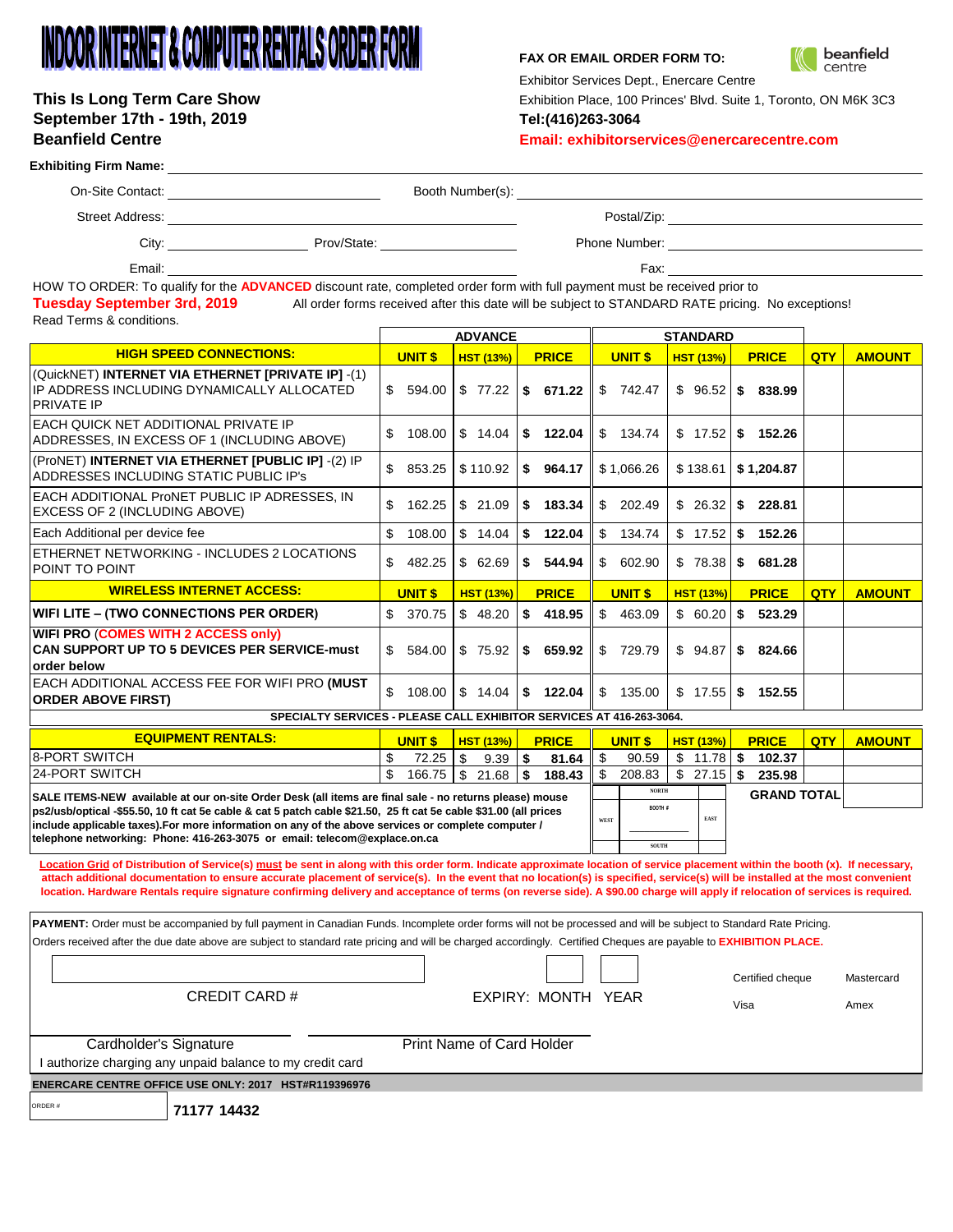# INDOOR INTERNET & COMPUTER RENTALS ORDER FORM

# **September 17th - 19th, 2019 Tel:(416)263-3064**

### **FAX OR EMAIL ORDER FORM TO:**



Exhibitor Services Dept., Enercare Centre

This Is Long Term Care Show **Exhibition Place, 100 Princes' Blvd.** Suite 1, Toronto, ON M6K 3C3

**Beanfield Centre Email: exhibitorservices@enercarecentre.com**

#### **Exhibiting Firm Name:**

| On-Site Contact: | Booth Number(s): |
|------------------|------------------|

Street Address: Note and the Street Address: Note and the Street Address: Note and the Postal/Zip: Note and the Postal/Zip: Note and the Postal/Zip: Note and the Postal/Zip: Note and the Postal/Zip: Note and the Postal/Zip

City: Prov/State: Phone Number:

Email:

Fax:

**SOUTH**

HOW TO ORDER: To qualify for the **ADVANCED** discount rate, completed order form with full payment must be received prior to **Tuesday September 3rd, 2019** All order forms received after this date will be subject to STANDARD RATE pricing. No exceptions! Read Terms & conditions.

|                                                                                                                       | <b>ADVANCE</b> |                  |                |                        | <b>STANDARD</b>  |                     |     |               |  |
|-----------------------------------------------------------------------------------------------------------------------|----------------|------------------|----------------|------------------------|------------------|---------------------|-----|---------------|--|
| <b>HIGH SPEED CONNECTIONS:</b>                                                                                        | <b>UNIT \$</b> | <b>HST (13%)</b> | <b>PRICE</b>   | <b>UNITS</b>           | HST(13%)         | <b>PRICE</b>        | QTY | <b>AMOUNT</b> |  |
| (QuickNET) INTERNET VIA ETHERNET [PRIVATE IP] -(1)<br>IP ADDRESS INCLUDING DYNAMICALLY ALLOCATED<br><b>PRIVATE IP</b> | \$.<br>594.00  | \$77.22          | IS: 671.22     | \$<br>742.47           | $$96.52$   \$    | 838.99              |     |               |  |
| EACH QUICK NET ADDITIONAL PRIVATE IP<br>ADDRESSES, IN EXCESS OF 1 (INCLUDING ABOVE)                                   | 108.00<br>\$   | \$14.04          | 122.04<br>S    | \$<br>134.74           | \$17.52          | 152.26<br>S         |     |               |  |
| (ProNET) INTERNET VIA ETHERNET [PUBLIC IP] -(2) IP<br>ADDRESSES INCLUDING STATIC PUBLIC IP's                          | \$<br>853.25   | \$110.92         | 964.17<br>S.   | \$1,066.26             | \$138.61         | \$1,204.87          |     |               |  |
| EACH ADDITIONAL ProNET PUBLIC IP ADRESSES, IN<br>EXCESS OF 2 (INCLUDING ABOVE)                                        | 162.25<br>\$   | \$21.09          | 183.34<br>∣\$. | \$<br>202.49           | $$26.32$ \ \$    | 228.81              |     |               |  |
| Each Additional per device fee                                                                                        | \$<br>108.00   | \$14.04          | 122.04<br>- \$ | $\mathbb{S}$<br>134.74 | $$17.52$ \ $$$   | 152.26              |     |               |  |
| ETHERNET NETWORKING - INCLUDES 2 LOCATIONS<br>POINT TO POINT                                                          | \$<br>482.25   | \$62.69          | 544.94<br>s.   | \$<br>602.90           | $$78.38$ $$$     | 681.28              |     |               |  |
| <b>WIRELESS INTERNET ACCESS:</b>                                                                                      | <b>UNIT \$</b> | <b>HST (13%)</b> | <b>PRICE</b>   | <b>UNITS</b>           | <b>HST (13%)</b> | <b>PRICE</b>        | QTY | <b>AMOUNT</b> |  |
| WIFI LITE - (TWO CONNECTIONS PER ORDER)                                                                               | 370.75<br>\$.  | \$48.20          | 418.95<br>IS.  | \$<br>463.09           | $$60.20$ \ \$    | 523.29              |     |               |  |
| WIFI PRO (COMES WITH 2 ACCESS only)<br><b>CAN SUPPORT UP TO 5 DEVICES PER SERVICE-must</b><br>order below             | 584.00<br>\$.  | $$75.92$ $$$     | 659.92         | $\mathbb{S}$<br>729.79 |                  | $$94.87$ \ \$824.66 |     |               |  |
| EACH ADDITIONAL ACCESS FEE FOR WIFI PRO (MUST<br><b>ORDER ABOVE FIRST)</b>                                            | \$<br>108.00   | \$14.04          | 122.04<br>S.   | \$<br>135.00           | $$17.55$ \ \$    | 152.55              |     |               |  |
| SPECIALTY SERVICES - PLEASE CALL EXHIBITOR SERVICES AT 416-263-3064.                                                  |                |                  |                |                        |                  |                     |     |               |  |

**UNIT \$ HST (13%) PRICE UNIT \$ HST (13%) PRICE QTY AMOUNT**  $\frac{1}{3}$  72.25  $\frac{1}{3}$  9.39  $\frac{1}{3}$  81.64  $\frac{1}{3}$  90.59  $\frac{1}{3}$  11.78  $\frac{1}{3}$  102.37  $\frac{1}{2}$  166.75  $\frac{1}{2}$  21.68  $\frac{1}{2}$  188.43  $\frac{1}{2}$  208.83  $\frac{1}{2}$  27.15  $\frac{1}{2}$  235.98 8-PORT SWITCH 24-PORT SWITCH **GRAND TOTAL SALE ITEMS-NEW available at our on-site Order Desk (all items are final sale - no returns please) mouse ps2/usb/optical -\$55.50, 10 ft cat 5e cable & cat 5 patch cable \$21.50, 25 ft cat 5e cable \$31.00 (all prices include applicable taxes).For more information on any of the above services or complete computer / telephone networking: Phone: 416-263-3075 or email: telecom@explace.on.ca EQUIPMENT RENTALS: NORTH WEST BOOTH # \_\_\_\_\_\_\_\_\_\_\_\_ EAST**

Location Grid of Distribution of Service(s) must be sent in along with this order form. Indicate approximate location of service placement within the booth (x). If necessary, **attach additional documentation to ensure accurate placement of service(s). In the event that no location(s) is specified, service(s) will be installed at the most convenient location. Hardware Rentals require signature confirming delivery and acceptance of terms (on reverse side). A \$90.00 charge will apply if relocation of services is required.** 

Certified cheque Mastercard EXPIRY: MONTH YEAR Visa Visa Amex I authorize charging any unpaid balance to my credit card **ENERCARE CENTRE OFFICE USE ONLY: 2017 HST#R119396976**  Print Name of Card Holder PAYMENT: Order must be accompanied by full payment in Canadian Funds. Incomplete order forms will not be processed and will be subject to Standard Rate Pricing. Orders received after the due date above are subject to standard rate pricing and will be charged accordingly. Certified Cheques are payable to **EXHIBITION PLACE.** Cardholder's Signature CREDIT CARD #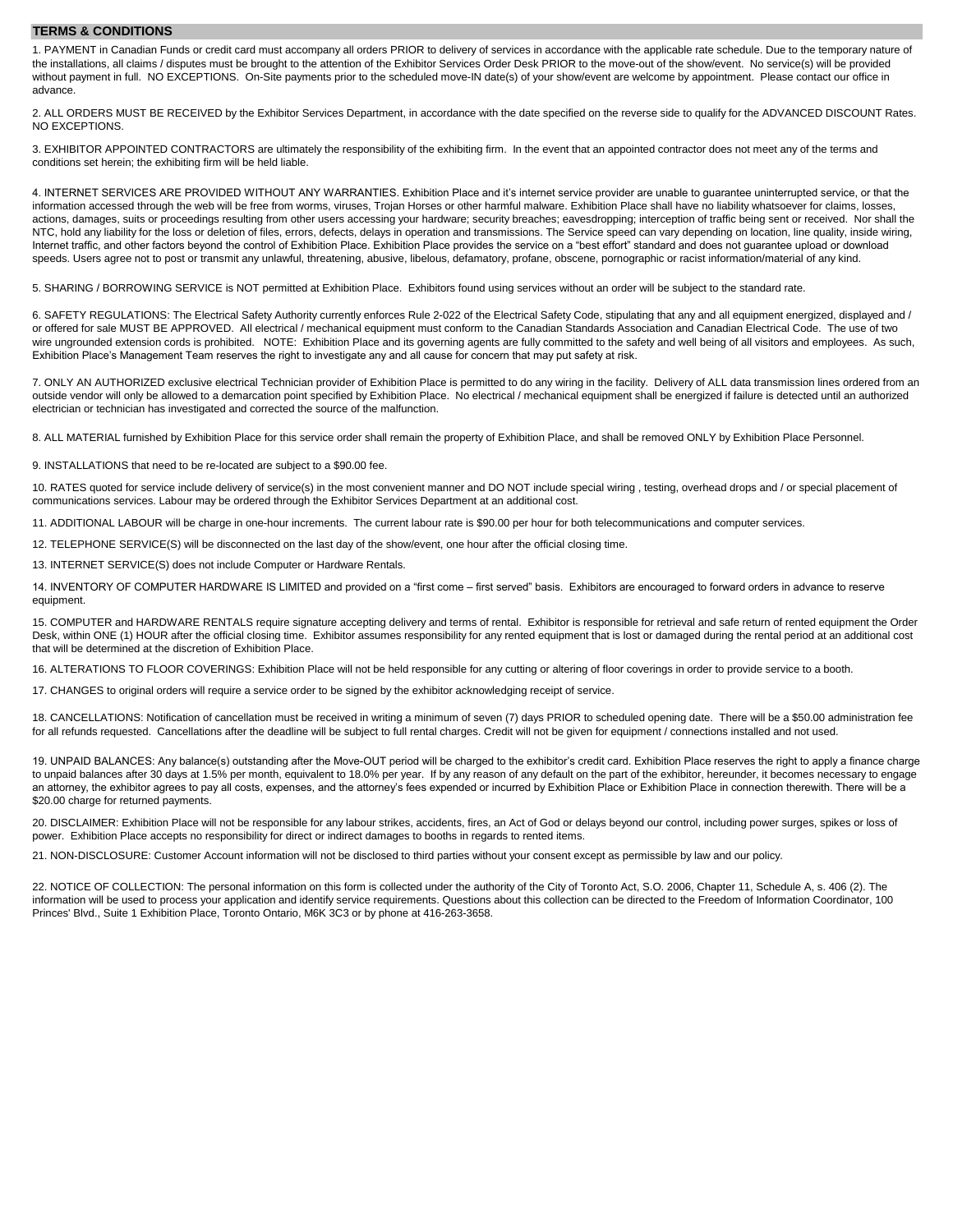#### **TERMS & CONDITIONS**

1. PAYMENT in Canadian Funds or credit card must accompany all orders PRIOR to delivery of services in accordance with the applicable rate schedule. Due to the temporary nature of the installations, all claims / disputes must be brought to the attention of the Exhibitor Services Order Desk PRIOR to the move-out of the show/event. No service(s) will be provided without payment in full. NO EXCEPTIONS. On-Site payments prior to the scheduled move-IN date(s) of your show/event are welcome by appointment. Please contact our office in advance.

2. ALL ORDERS MUST BE RECEIVED by the Exhibitor Services Department, in accordance with the date specified on the reverse side to qualify for the ADVANCED DISCOUNT Rates. NO EXCEPTIONS.

3. EXHIBITOR APPOINTED CONTRACTORS are ultimately the responsibility of the exhibiting firm. In the event that an appointed contractor does not meet any of the terms and conditions set herein; the exhibiting firm will be held liable.

4. INTERNET SERVICES ARE PROVIDED WITHOUT ANY WARRANTIES. Exhibition Place and it's internet service provider are unable to guarantee uninterrupted service, or that the information accessed through the web will be free from worms, viruses, Trojan Horses or other harmful malware. Exhibition Place shall have no liability whatsoever for claims, losses, actions, damages, suits or proceedings resulting from other users accessing your hardware; security breaches; eavesdropping; interception of traffic being sent or received. Nor shall the NTC, hold any liability for the loss or deletion of files, errors, defects, delays in operation and transmissions. The Service speed can vary depending on location, line quality, inside wiring, Internet traffic, and other factors beyond the control of Exhibition Place. Exhibition Place provides the service on a "best effort" standard and does not guarantee upload or download speeds. Users agree not to post or transmit any unlawful, threatening, abusive, libelous, defamatory, profane, obscene, pornographic or racist information/material of any kind.

5. SHARING / BORROWING SERVICE is NOT permitted at Exhibition Place. Exhibitors found using services without an order will be subject to the standard rate.

6. SAFETY REGULATIONS: The Electrical Safety Authority currently enforces Rule 2-022 of the Electrical Safety Code, stipulating that any and all equipment energized, displayed and / or offered for sale MUST BE APPROVED. All electrical / mechanical equipment must conform to the Canadian Standards Association and Canadian Electrical Code. The use of two wire ungrounded extension cords is prohibited. NOTE: Exhibition Place and its governing agents are fully committed to the safety and well being of all visitors and employees. As such, Exhibition Place's Management Team reserves the right to investigate any and all cause for concern that may put safety at risk.

7. ONLY AN AUTHORIZED exclusive electrical Technician provider of Exhibition Place is permitted to do any wiring in the facility. Delivery of ALL data transmission lines ordered from an outside vendor will only be allowed to a demarcation point specified by Exhibition Place. No electrical / mechanical equipment shall be energized if failure is detected until an authorized electrician or technician has investigated and corrected the source of the malfunction.

8. ALL MATERIAL furnished by Exhibition Place for this service order shall remain the property of Exhibition Place, and shall be removed ONLY by Exhibition Place Personnel.

9. INSTALLATIONS that need to be re-located are subject to a \$90.00 fee.

10. RATES quoted for service include delivery of service(s) in the most convenient manner and DO NOT include special wiring , testing, overhead drops and / or special placement of communications services. Labour may be ordered through the Exhibitor Services Department at an additional cost.

11. ADDITIONAL LABOUR will be charge in one-hour increments. The current labour rate is \$90.00 per hour for both telecommunications and computer services.

12. TELEPHONE SERVICE(S) will be disconnected on the last day of the show/event, one hour after the official closing time.

13. INTERNET SERVICE(S) does not include Computer or Hardware Rentals.

14. INVENTORY OF COMPUTER HARDWARE IS LIMITED and provided on a "first come – first served" basis. Exhibitors are encouraged to forward orders in advance to reserve equipment.

15. COMPUTER and HARDWARE RENTALS require signature accepting delivery and terms of rental. Exhibitor is responsible for retrieval and safe return of rented equipment the Order Desk, within ONE (1) HOUR after the official closing time. Exhibitor assumes responsibility for any rented equipment that is lost or damaged during the rental period at an additional cost that will be determined at the discretion of Exhibition Place.

16. ALTERATIONS TO FLOOR COVERINGS: Exhibition Place will not be held responsible for any cutting or altering of floor coverings in order to provide service to a booth.

17. CHANGES to original orders will require a service order to be signed by the exhibitor acknowledging receipt of service.

18. CANCELLATIONS: Notification of cancellation must be received in writing a minimum of seven (7) days PRIOR to scheduled opening date. There will be a \$50.00 administration fee for all refunds requested. Cancellations after the deadline will be subject to full rental charges. Credit will not be given for equipment / connections installed and not used.

19. UNPAID BALANCES: Any balance(s) outstanding after the Move-OUT period will be charged to the exhibitor's credit card. Exhibition Place reserves the right to apply a finance charge to unpaid balances after 30 days at 1.5% per month, equivalent to 18.0% per year. If by any reason of any default on the part of the exhibitor, hereunder, it becomes necessary to engage an attorney, the exhibitor agrees to pay all costs, expenses, and the attorney's fees expended or incurred by Exhibition Place or Exhibition Place in connection therewith. There will be a \$20.00 charge for returned payments.

20. DISCLAIMER: Exhibition Place will not be responsible for any labour strikes, accidents, fires, an Act of God or delays beyond our control, including power surges, spikes or loss of power. Exhibition Place accepts no responsibility for direct or indirect damages to booths in regards to rented items.

21. NON-DISCLOSURE: Customer Account information will not be disclosed to third parties without your consent except as permissible by law and our policy.

22. NOTICE OF COLLECTION: The personal information on this form is collected under the authority of the City of Toronto Act, S.O. 2006, Chapter 11, Schedule A, s. 406 (2). The information will be used to process your application and identify service requirements. Questions about this collection can be directed to the Freedom of Information Coordinator, 100 Princes' Blvd., Suite 1 Exhibition Place, Toronto Ontario, M6K 3C3 or by phone at 416-263-3658.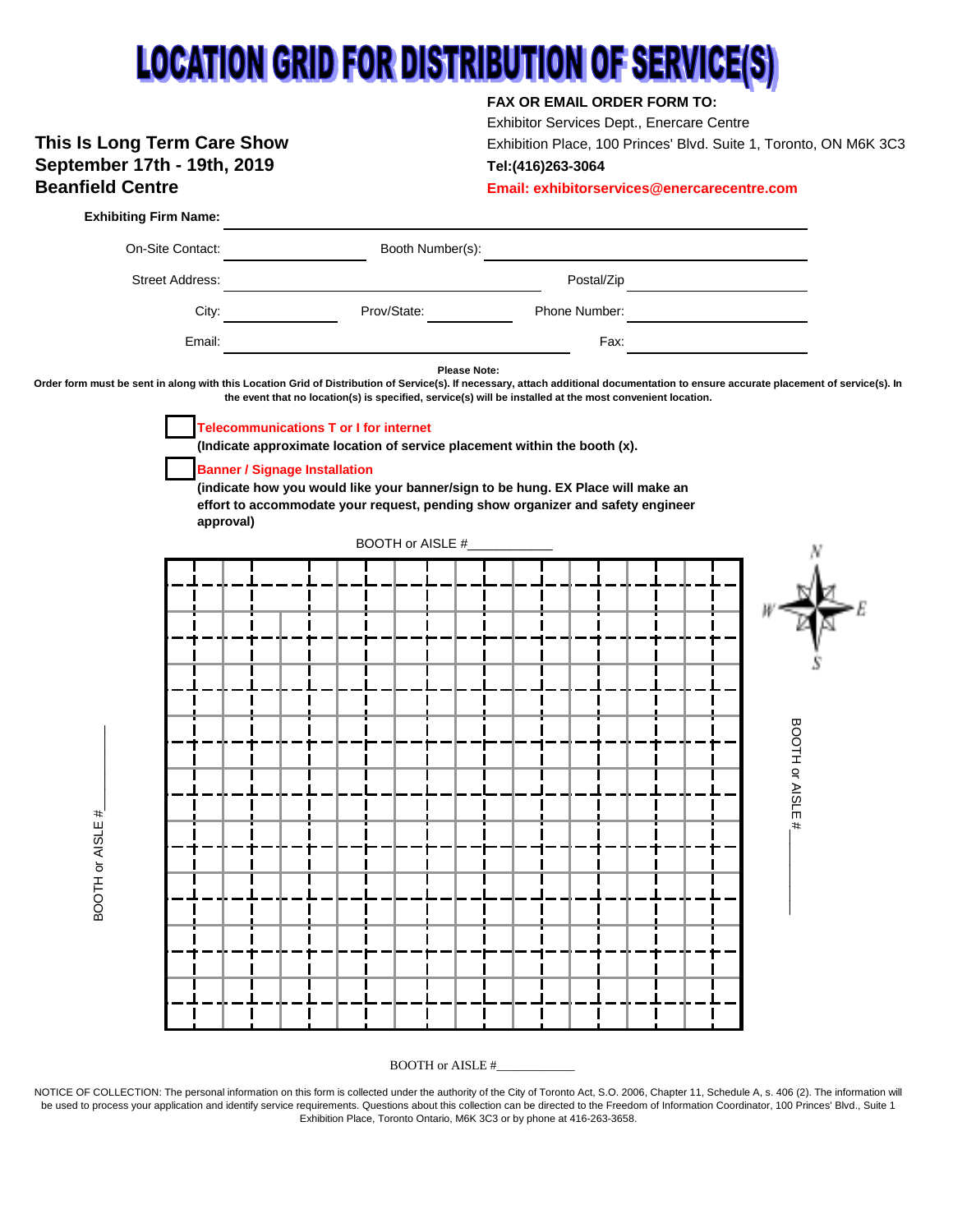# **LOCATION GRID FOR DISTRIBUTION OF SERVICE(S)**

## **September 17th - 19th, 2019 Tel:(416)263-3064 Beanfield Centre Email: exhibitorservices@enercarecentre.com**

## **FAX OR EMAIL ORDER FORM TO:**

Exhibitor Services Dept., Enercare Centre **This Is Long Term Care Show** Exhibition Place, 100 Princes' Blvd. Suite 1, Toronto, ON M6K 3C3



BOOTH or AISLE #\_

NOTICE OF COLLECTION: The personal information on this form is collected under the authority of the City of Toronto Act, S.O. 2006, Chapter 11, Schedule A, s. 406 (2). The information will be used to process your application and identify service requirements. Questions about this collection can be directed to the Freedom of Information Coordinator, 100 Princes' Blvd., Suite 1 Exhibition Place, Toronto Ontario, M6K 3C3 or by phone at 416-263-3658.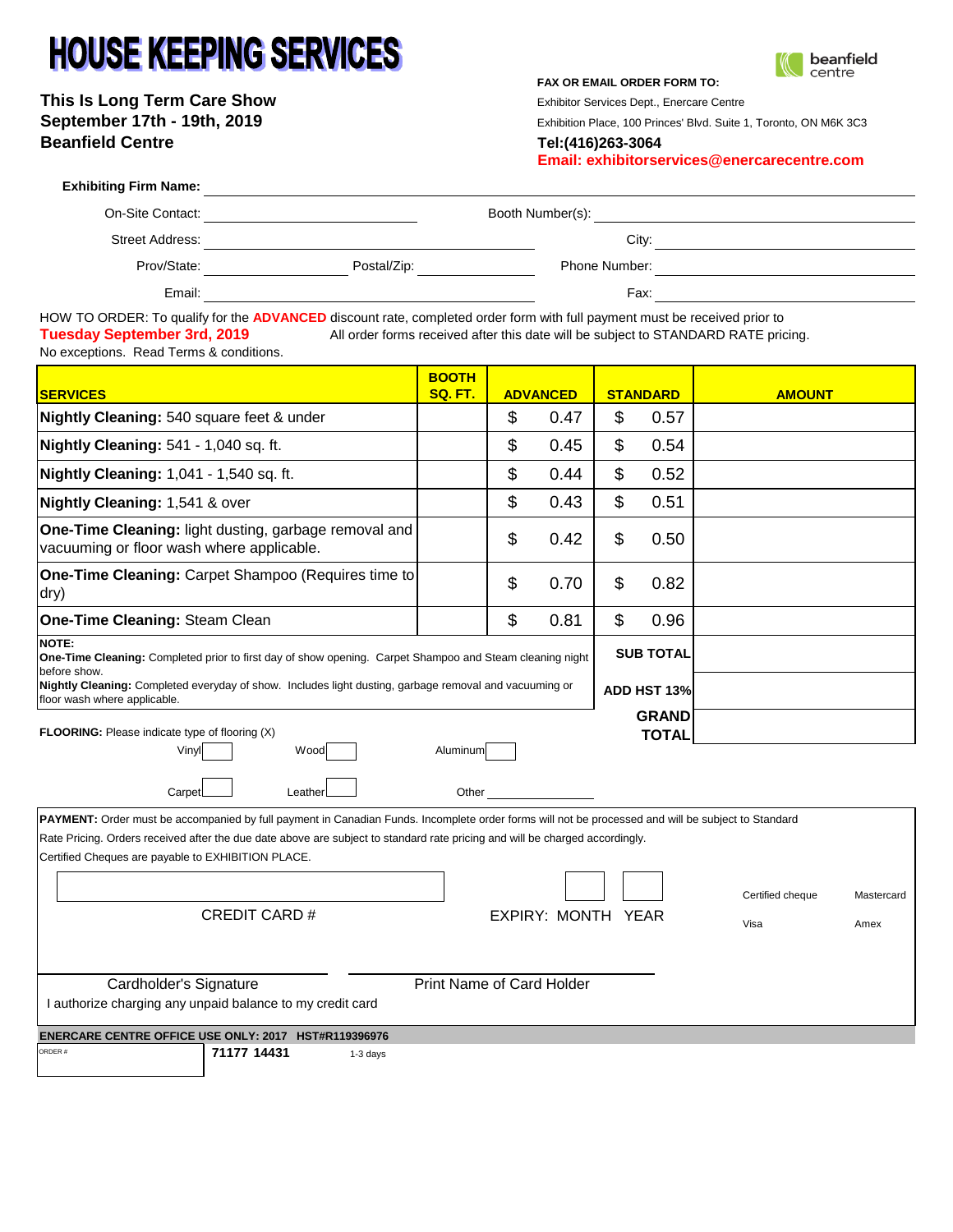# **HOUSE KEEPING SERVICES**

**This Is Long Term Care Show** Exhibitor Services Dept., Enercare Centre September 17th - 19th, 2019<br>
Exhibition Place, 100 Princes' Blvd. Suite 1, Toronto, ON M6K 3C3 **Beanfield Centre Tel:(416)263-3064**

**FAX OR EMAIL ORDER FORM TO:**



**Email: exhibitorservices@enercarecentre.com**

| <b>Exhibiting Firm Name:</b> |             |                  |  |
|------------------------------|-------------|------------------|--|
| On-Site Contact:             |             | Booth Number(s): |  |
| <b>Street Address:</b>       |             | City:            |  |
| Prov/State:                  | Postal/Zip: | Phone Number:    |  |
| Email:                       |             | Fax:             |  |
| .                            |             |                  |  |

HOW TO ORDER: To qualify for the **ADVANCED** discount rate, completed order form with full payment must be received prior to **Tuesday September 3rd, 2019** All order forms received after this date will be subject to STANDARD RATE pricing. No exceptions. Read Terms & conditions.

| <b>SERVICES</b>                                                                                                                                                                                                                                                                                                                                                                                                                         | <b>BOOTH</b><br>SQ. FT.   |    | <b>ADVANCED</b> |                                 | <b>STANDARD</b>              | <b>AMOUNT</b> |  |
|-----------------------------------------------------------------------------------------------------------------------------------------------------------------------------------------------------------------------------------------------------------------------------------------------------------------------------------------------------------------------------------------------------------------------------------------|---------------------------|----|-----------------|---------------------------------|------------------------------|---------------|--|
| Nightly Cleaning: 540 square feet & under                                                                                                                                                                                                                                                                                                                                                                                               |                           | \$ | 0.47            | \$                              | 0.57                         |               |  |
| Nightly Cleaning: 541 - 1,040 sq. ft.                                                                                                                                                                                                                                                                                                                                                                                                   |                           | \$ | 0.45            | \$                              | 0.54                         |               |  |
| Nightly Cleaning: 1,041 - 1,540 sq. ft.                                                                                                                                                                                                                                                                                                                                                                                                 |                           | \$ | 0.44            | \$                              | 0.52                         |               |  |
| Nightly Cleaning: 1,541 & over                                                                                                                                                                                                                                                                                                                                                                                                          |                           | \$ | 0.43            | $\boldsymbol{\mathsf{S}}$       | 0.51                         |               |  |
| One-Time Cleaning: light dusting, garbage removal and<br>vacuuming or floor wash where applicable.                                                                                                                                                                                                                                                                                                                                      |                           | \$ | 0.42            | \$                              | 0.50                         |               |  |
| One-Time Cleaning: Carpet Shampoo (Requires time to<br>dry)                                                                                                                                                                                                                                                                                                                                                                             |                           | \$ | 0.70            | \$                              | 0.82                         |               |  |
| One-Time Cleaning: Steam Clean                                                                                                                                                                                                                                                                                                                                                                                                          |                           | \$ | 0.81            | \$                              | 0.96                         |               |  |
| <b>NOTE:</b><br>One-Time Cleaning: Completed prior to first day of show opening. Carpet Shampoo and Steam cleaning night<br>before show.<br>Nightly Cleaning: Completed everyday of show. Includes light dusting, garbage removal and vacuuming or<br>floor wash where applicable.                                                                                                                                                      |                           |    |                 | <b>SUB TOTAL</b><br>ADD HST 13% |                              |               |  |
| <b>FLOORING:</b> Please indicate type of flooring (X)<br>Wood<br>Vinyl<br>Carpet<br>Leather                                                                                                                                                                                                                                                                                                                                             | Aluminum<br>Other         |    |                 |                                 | <b>GRAND</b><br><b>TOTAL</b> |               |  |
| PAYMENT: Order must be accompanied by full payment in Canadian Funds. Incomplete order forms will not be processed and will be subject to Standard<br>Rate Pricing. Orders received after the due date above are subject to standard rate pricing and will be charged accordingly.<br>Certified Cheques are payable to EXHIBITION PLACE.<br>Certified cheque<br>Mastercard<br><b>CREDIT CARD#</b><br>EXPIRY: MONTH YEAR<br>Visa<br>Amex |                           |    |                 |                                 |                              |               |  |
| Cardholder's Signature<br>I authorize charging any unpaid balance to my credit card                                                                                                                                                                                                                                                                                                                                                     | Print Name of Card Holder |    |                 |                                 |                              |               |  |
| ENERCARE CENTRE OFFICE USE ONLY: 2017 HST#R119396976<br>71177 14431<br>ORDER #<br>1-3 days                                                                                                                                                                                                                                                                                                                                              |                           |    |                 |                                 |                              |               |  |